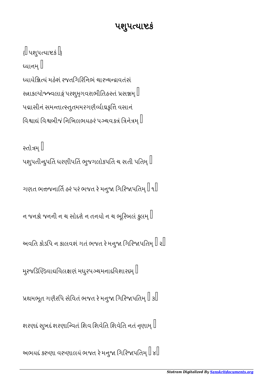## પશુપત્પાષ્ટકં

 $\left\{ \left\Vert \right. \mathrm{u}$ શુપત્યાષ્ટકં $\left. \right\Vert _{\mathrm{c}}$ ધ્યાનમ્ ∥ યાયેિયં મહેશં રજતિગિરિનભં ચાચાવતંસં રત્નાકલ્પોજ્ન્વલાકું પરશુમૃગવરાભીતિહસ્તં પ્રસન્નમ્ $\mathbin\Vert$ પદ્માસીનં સમન્તાત્સ્તુતમમરગણૈર્વ્યાઘ્રકૃત્તિં વસાનં વિશ્વાઘં વિશ્વબીજં નિખિલભયહરં પગ્ચવક્ત્રં ત્રિનેત્રમ $\mathord{\mathbb I}$ 

રતોત્રમ $\mathord{\mathbb I}$ પશુપતીન્દુપતિ ધરણીપતિ ભુજગલોકપતિં ચ સતી પતિમ્ $\mathbin\Vert$ 

ગણત ભત્તજનાર્તિ હરં પરં ભજત રે મનુજા ગિરિજાપતિમ્ $\mathbb I$  ૧ $\mathbb I$ 

ન જનકો જનની ન ચ સોદરો ન તનયો ન ચ ભૂરિબલં કુલમ $\mathbin\Vert$ 

અવતિ કોડપિ ન કાલવશં ગતં ભજત રે મનુજા ગિરિજાપતિમ્ $\mathbin\Vert \mathbin{\downarrow}$ 

મુરજડિણ્ડિવાઘવિલક્ષણં મધુરપગ્ચમનાદવિશારદમ્ $\mathbb I$ 

પ્રથમભૂત ગણૈરપિ સેવિતં ભજત રે મનુજા ગિરિજાપતિમ્ $\parallel$   $\parallel$ 

શરણદં સુખદં શરણાન્વિતં શિવ શિવેતિ શિવેતિ નતં નૃણામ્  $\mathbin\Vert$ 

અભયદં કરુણા વરુણાલયં ભજત રે મનુજા ગિરિજાપતિમ્ $\mathbb I$   $\mathbb I$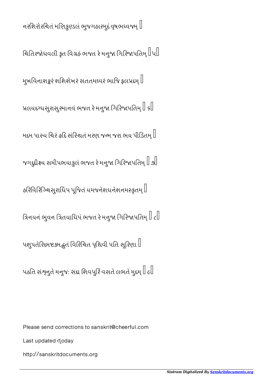નરશિરોરચિતં મણિકુણ્ડલં ભુજગહારમુદં વૃષભધ્વજમ્  $\mathbin\Vert$ 

િચિતિરજોધવલી કૃત વિગ્રહં ભજત રે મનુજા ગિરિજાપતિમ્ $\parallel$ પ $\parallel$ 

મુખવિનાશકુરં શશિશેખરં સતતમઘ્વરં ભાજિ ફલપ્રદમ્  $\mathbb I$ 

પ્રલયદગ્ધસુરાસુરમાનવં ભજત રે મનુજા ગિરિજાપતિમ્ $\mathbin\Vert \mathfrak{sl}$ 

મદમ પાસ્ય ચિરં હદિ સંસ્થિતં મરણ જન્મ જરા ભય પીડિતમ્ $\mathbin\Vert$ 

જગદુદીક્ષ્ય સમીપભયાકુલં ભજત રે મનુજા ગિરિજાપતિમ્ $\mathbin{\|}$  ૭ $\mathbin{\|}$ 

હરિવિરિઝ્ચિસુરાધિંપ પૂજિતં યમજનેશધનેશનમસ્ક્રતમ્ $\mathbin\Vert$ 

િત્રનયનં ભુવન ત્રિતયાધિપં ભજત રે મનુજા ગિરિજાપતિમ્ $\mathbb I$   $\iota\mathbb I$ 

પશુપતેરિદમષ્ટકમદ્ભુતં વિરિચિત પૃથિવી પતિ સૂરિણા  $\mathbin\Vert$ 

પઠતિ સંશ્ર્નુતે મનુજ: સદ્ય શિવપુરિં વસતે લભતે મુદમ્ $\mathbin\Vert \epsilon \mathbin\Vert$ 

Please send corrections to sanskrit@cheerful.com

Last updated doday

http://sanskritdocuments.org